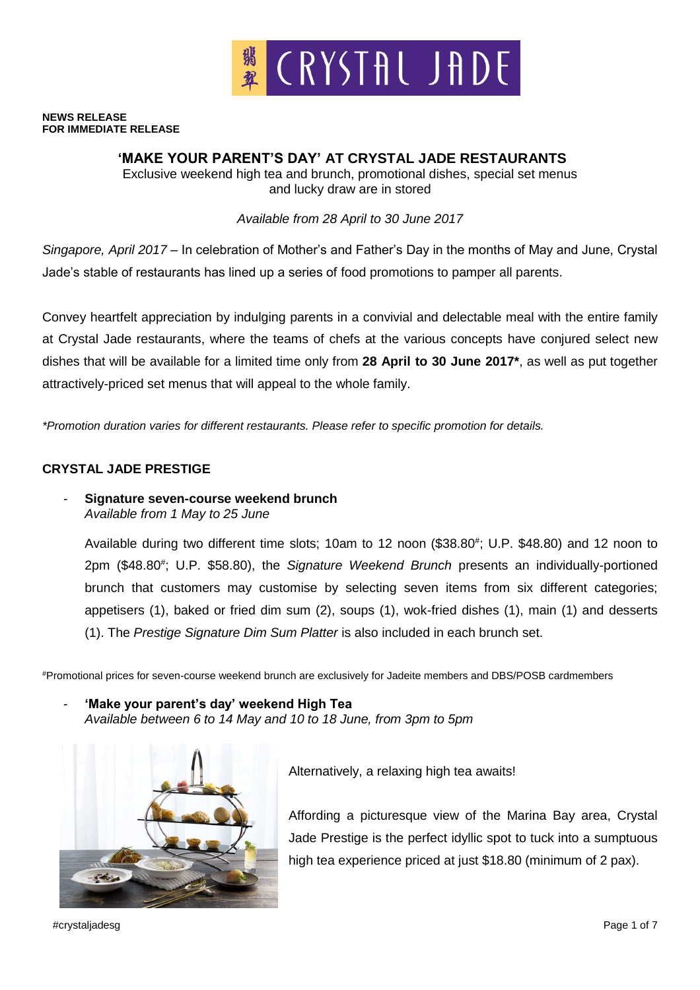

#### **NEWS RELEASE FOR IMMEDIATE RELEASE**

# **'MAKE YOUR PARENT'S DAY' AT CRYSTAL JADE RESTAURANTS**

Exclusive weekend high tea and brunch, promotional dishes, special set menus and lucky draw are in stored

*Available from 28 April to 30 June 2017*

*Singapore, April 2017* – In celebration of Mother's and Father's Day in the months of May and June, Crystal Jade's stable of restaurants has lined up a series of food promotions to pamper all parents.

Convey heartfelt appreciation by indulging parents in a convivial and delectable meal with the entire family at Crystal Jade restaurants, where the teams of chefs at the various concepts have conjured select new dishes that will be available for a limited time only from **28 April to 30 June 2017\***, as well as put together attractively-priced set menus that will appeal to the whole family.

*\*Promotion duration varies for different restaurants. Please refer to specific promotion for details.*

# **CRYSTAL JADE PRESTIGE**

- **Signature seven-course weekend brunch**  *Available from 1 May to 25 June*

Available during two different time slots; 10am to 12 noon (\$38.80#; U.P. \$48.80) and 12 noon to 2pm (\$48.80<sup>#</sup>; U.P. \$58.80), the Signature Weekend Brunch presents an individually-portioned brunch that customers may customise by selecting seven items from six different categories; appetisers (1), baked or fried dim sum (2), soups (1), wok-fried dishes (1), main (1) and desserts (1). The *Prestige Signature Dim Sum Platter* is also included in each brunch set.

#Promotional prices for seven-course weekend brunch are exclusively for Jadeite members and DBS/POSB cardmembers

- **'Make your parent's day' weekend High Tea** *Available between 6 to 14 May and 10 to 18 June, from 3pm to 5pm*



Alternatively, a relaxing high tea awaits!

Affording a picturesque view of the Marina Bay area, Crystal Jade Prestige is the perfect idyllic spot to tuck into a sumptuous high tea experience priced at just \$18.80 (minimum of 2 pax).

#crystaljadesg Page 1 of 7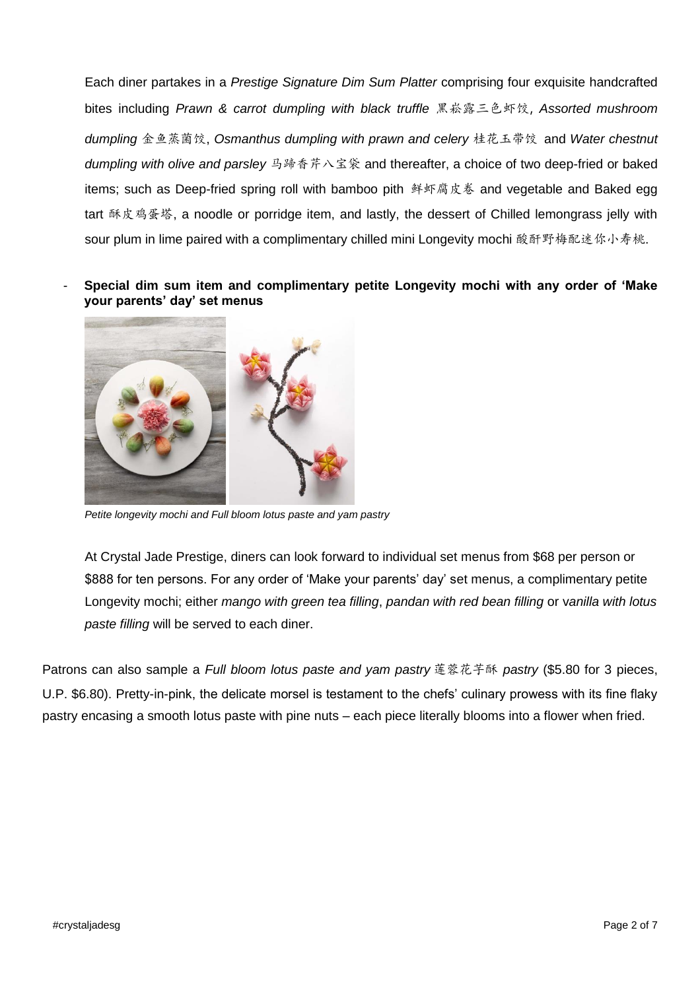Each diner partakes in a *Prestige Signature Dim Sum Platter* comprising four exquisite handcrafted bites including *Prawn & carrot dumpling with black truffle* 黑崧露三色虾饺, *Assorted mushroom dumpling* 金鱼蒸菌饺, *Osmanthus dumpling with prawn and celery* 桂花玉带饺 and *Water chestnut*  dumpling with olive and parsley 马蹄香芹八宝袋 and thereafter, a choice of two deep-fried or baked items; such as Deep-fried spring roll with bamboo pith 鲜虾腐皮卷 and vegetable and Baked egg tart 酥皮鸡蛋塔, a noodle or porridge item, and lastly, the dessert of Chilled lemongrass jelly with sour plum in lime paired with a complimentary chilled mini Longevity mochi 酸酐野梅配迷你小寿桃.

- **Special dim sum item and complimentary petite Longevity mochi with any order of 'Make your parents' day' set menus**



*Petite longevity mochi and Full bloom lotus paste and yam pastry*

At Crystal Jade Prestige, diners can look forward to individual set menus from \$68 per person or \$888 for ten persons. For any order of 'Make your parents' day' set menus, a complimentary petite Longevity mochi; either *mango with green tea filling*, *pandan with red bean filling* or v*anilla with lotus paste filling* will be served to each diner.

Patrons can also sample a *Full bloom lotus paste and yam pastry* 莲蓉花芋酥 *pastry* (\$5.80 for 3 pieces, U.P. \$6.80). Pretty-in-pink, the delicate morsel is testament to the chefs' culinary prowess with its fine flaky pastry encasing a smooth lotus paste with pine nuts – each piece literally blooms into a flower when fried.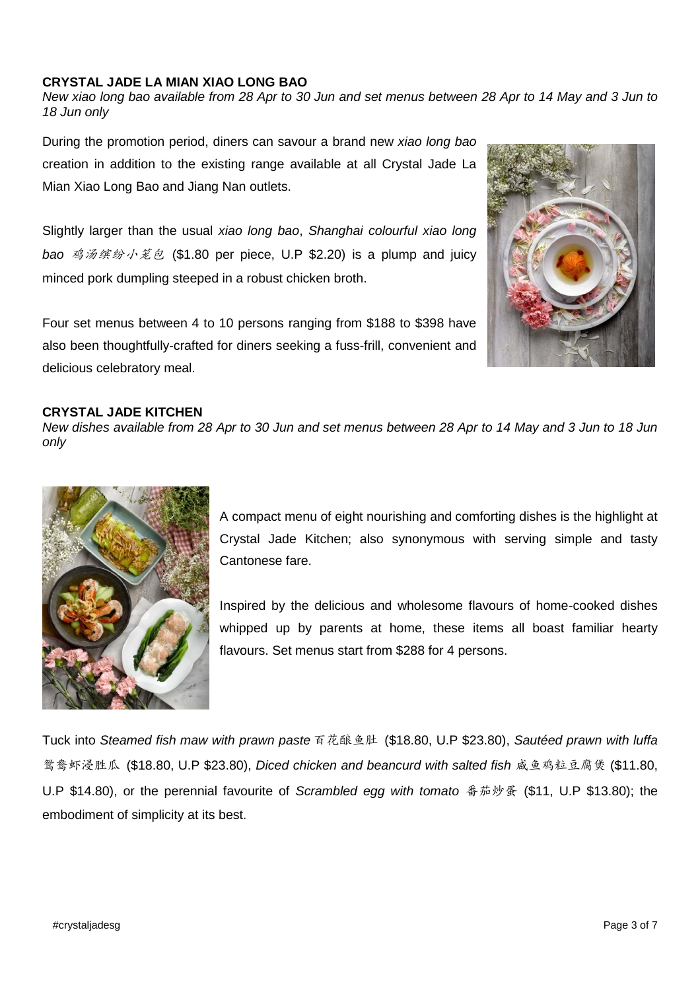### **CRYSTAL JADE LA MIAN XIAO LONG BAO**

*New xiao long bao available from 28 Apr to 30 Jun and set menus between 28 Apr to 14 May and 3 Jun to 18 Jun only*

During the promotion period, diners can savour a brand new *xiao long bao*  creation in addition to the existing range available at all Crystal Jade La Mian Xiao Long Bao and Jiang Nan outlets.

Slightly larger than the usual *xiao long bao*, *Shanghai colourful xiao long bao* 鸡汤缤纷小笼包 (\$1.80 per piece, U.P \$2.20) is a plump and juicy minced pork dumpling steeped in a robust chicken broth.

Four set menus between 4 to 10 persons ranging from \$188 to \$398 have also been thoughtfully-crafted for diners seeking a fuss-frill, convenient and delicious celebratory meal.



#### **CRYSTAL JADE KITCHEN**

*New dishes available from 28 Apr to 30 Jun and set menus between 28 Apr to 14 May and 3 Jun to 18 Jun only*



A compact menu of eight nourishing and comforting dishes is the highlight at Crystal Jade Kitchen; also synonymous with serving simple and tasty Cantonese fare.

Inspired by the delicious and wholesome flavours of home-cooked dishes whipped up by parents at home, these items all boast familiar hearty flavours. Set menus start from \$288 for 4 persons.

Tuck into *Steamed fish maw with prawn paste* 百花酿鱼肚 (\$18.80, U.P \$23.80), *Sautéed prawn with luffa* 鸳鸯虾浸胜瓜 (\$18.80, U.P \$23.80), *Diced chicken and beancurd with salted fish* 咸鱼鸡粒豆腐煲 (\$11.80, U.P \$14.80), or the perennial favourite of *Scrambled egg with tomato* 番茄炒蛋 (\$11, U.P \$13.80); the embodiment of simplicity at its best.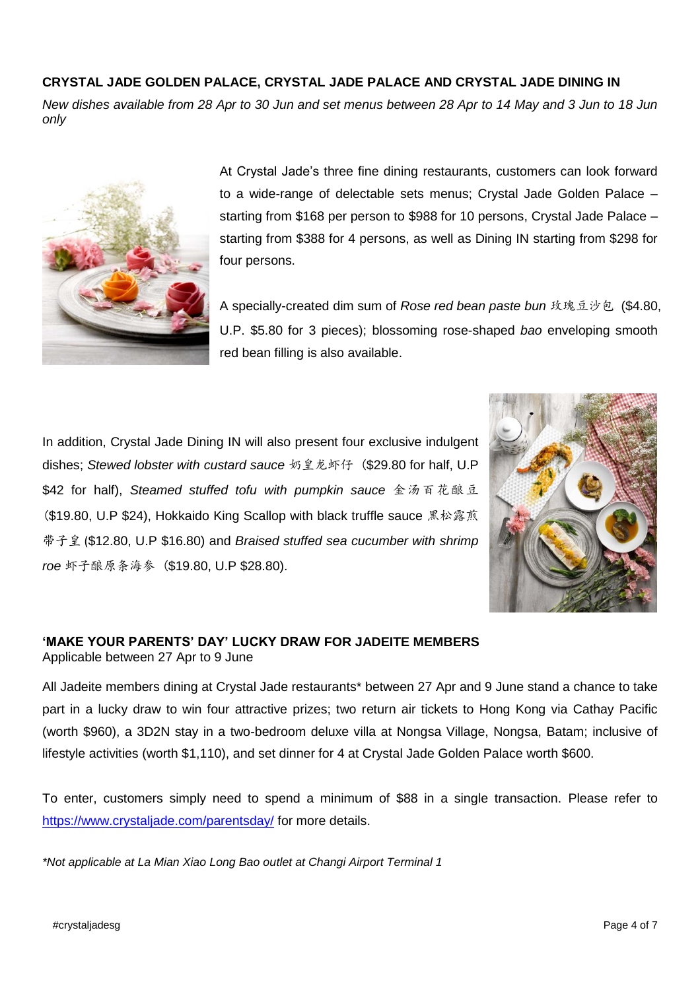# **CRYSTAL JADE GOLDEN PALACE, CRYSTAL JADE PALACE AND CRYSTAL JADE DINING IN**

*New dishes available from 28 Apr to 30 Jun and set menus between 28 Apr to 14 May and 3 Jun to 18 Jun only*



At Crystal Jade's three fine dining restaurants, customers can look forward to a wide-range of delectable sets menus; Crystal Jade Golden Palace – starting from \$168 per person to \$988 for 10 persons, Crystal Jade Palace – starting from \$388 for 4 persons, as well as Dining IN starting from \$298 for four persons.

A specially-created dim sum of *Rose red bean paste bun* 玫瑰豆沙包 (\$4.80, U.P. \$5.80 for 3 pieces); blossoming rose-shaped *bao* enveloping smooth red bean filling is also available.

In addition, Crystal Jade Dining IN will also present four exclusive indulgent dishes; *Stewed lobster with custard sauce* 奶皇龙虾仔 (\$29.80 for half, U.P \$42 for half), *Steamed stuffed tofu with pumpkin sauce* 金汤百花酿豆 (\$19.80, U.P \$24), Hokkaido King Scallop with black truffle sauce 黑松露煎 带子皇 (\$12.80, U.P \$16.80) and *Braised stuffed sea cucumber with shrimp roe* 虾子酿原条海参 (\$19.80, U.P \$28.80).



# **'MAKE YOUR PARENTS' DAY' LUCKY DRAW FOR JADEITE MEMBERS**

Applicable between 27 Apr to 9 June

All Jadeite members dining at Crystal Jade restaurants\* between 27 Apr and 9 June stand a chance to take part in a lucky draw to win four attractive prizes; two return air tickets to Hong Kong via Cathay Pacific (worth \$960), a 3D2N stay in a two-bedroom deluxe villa at Nongsa Village, Nongsa, Batam; inclusive of lifestyle activities (worth \$1,110), and set dinner for 4 at Crystal Jade Golden Palace worth \$600.

To enter, customers simply need to spend a minimum of \$88 in a single transaction. Please refer to <https://www.crystaljade.com/parentsday/> for more details.

*\*Not applicable at La Mian Xiao Long Bao outlet at Changi Airport Terminal 1*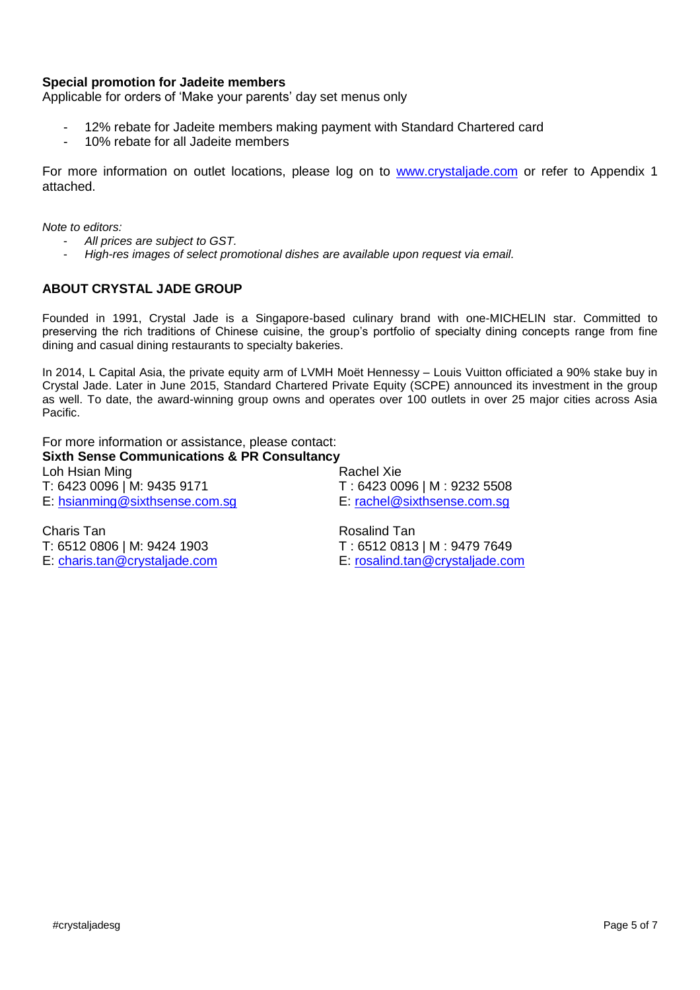# **Special promotion for Jadeite members**

Applicable for orders of 'Make your parents' day set menus only

- 12% rebate for Jadeite members making payment with Standard Chartered card
- 10% rebate for all Jadeite members

For more information on outlet locations, please log on to [www.crystaljade.com](http://www.crystaljade.com/) or refer to Appendix 1 attached.

*Note to editors:* 

- *All prices are subject to GST.*
- *High-res images of select promotional dishes are available upon request via email.*

# **ABOUT CRYSTAL JADE GROUP**

Founded in 1991, Crystal Jade is a Singapore-based culinary brand with one-MICHELIN star. Committed to preserving the rich traditions of Chinese cuisine, the group's portfolio of specialty dining concepts range from fine dining and casual dining restaurants to specialty bakeries.

In 2014, L Capital Asia, the private equity arm of LVMH Moët Hennessy – Louis Vuitton officiated a 90% stake buy in Crystal Jade. Later in June 2015, Standard Chartered Private Equity (SCPE) announced its investment in the group as well. To date, the award-winning group owns and operates over 100 outlets in over 25 major cities across Asia Pacific.

For more information or assistance, please contact: **Sixth Sense Communications & PR Consultancy**

Loh Hsian Ming **Rachel Xie Rachel Xie** T: 6423 0096 | M: 9435 9171 T: 6423 0096 | M: 9232 5508

E: [hsianming@sixthsense.com.sg](mailto:hsianming@sixthsense.com.sg) E: [rachel@sixthsense.com.sg](mailto:rachel@sixthsense.com.sg)

Charis Tan **Rosalind Tan** Rosalind Tan T: 6512 0806 | M: 9424 1903 T : 6512 0813 | M : 9479 7649

E: [charis.tan@crystaljade.com](mailto:charis.tan@crystaljade.com) E: [rosalind.tan@crystaljade.com](mailto:rosalind.tan@crystaljade.com)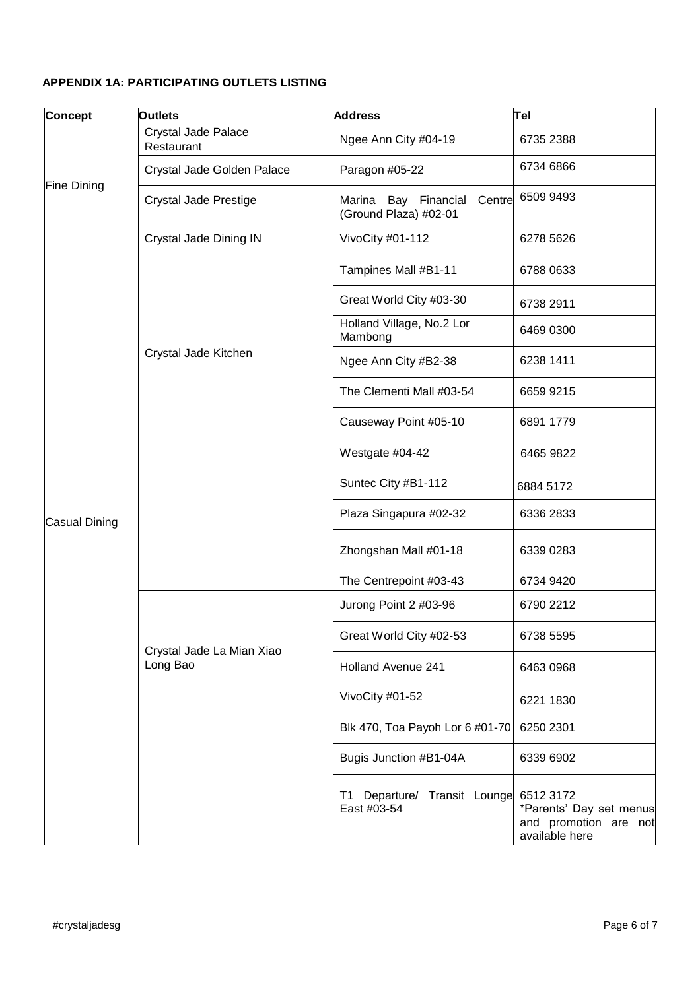# **APPENDIX 1A: PARTICIPATING OUTLETS LISTING**

| <b>Concept</b>     | <b>Outlets</b>                        | <b>Address</b>                                          | Tel                                                                             |
|--------------------|---------------------------------------|---------------------------------------------------------|---------------------------------------------------------------------------------|
| <b>Fine Dining</b> | Crystal Jade Palace<br>Restaurant     | Ngee Ann City #04-19                                    | 6735 2388                                                                       |
|                    | Crystal Jade Golden Palace            | Paragon #05-22                                          | 6734 6866                                                                       |
|                    | <b>Crystal Jade Prestige</b>          | Marina Bay Financial<br>Centre<br>(Ground Plaza) #02-01 | 6509 9493                                                                       |
|                    | Crystal Jade Dining IN                | VivoCity #01-112                                        | 6278 5626                                                                       |
| Casual Dining      | Crystal Jade Kitchen                  | Tampines Mall #B1-11                                    | 6788 0633                                                                       |
|                    |                                       | Great World City #03-30                                 | 6738 2911                                                                       |
|                    |                                       | Holland Village, No.2 Lor<br>Mambong                    | 6469 0300                                                                       |
|                    |                                       | Ngee Ann City #B2-38                                    | 6238 1411                                                                       |
|                    |                                       | The Clementi Mall #03-54                                | 6659 9215                                                                       |
|                    |                                       | Causeway Point #05-10                                   | 6891 1779                                                                       |
|                    |                                       | Westgate #04-42                                         | 6465 9822                                                                       |
|                    |                                       | Suntec City #B1-112                                     | 6884 5172                                                                       |
|                    |                                       | Plaza Singapura #02-32                                  | 6336 2833                                                                       |
|                    |                                       | Zhongshan Mall #01-18                                   | 6339 0283                                                                       |
|                    |                                       | The Centrepoint #03-43                                  | 6734 9420                                                                       |
|                    | Crystal Jade La Mian Xiao<br>Long Bao | Jurong Point 2 #03-96                                   | 6790 2212                                                                       |
|                    |                                       | Great World City #02-53                                 | 6738 5595                                                                       |
|                    |                                       | <b>Holland Avenue 241</b>                               | 6463 0968                                                                       |
|                    |                                       | VivoCity #01-52                                         | 6221 1830                                                                       |
|                    |                                       | Blk 470, Toa Payoh Lor 6 #01-70                         | 6250 2301                                                                       |
|                    |                                       | Bugis Junction #B1-04A                                  | 6339 6902                                                                       |
|                    |                                       | T1 Departure/ Transit Lounge<br>East #03-54             | 6512 3172<br>*Parents' Day set menus<br>and promotion are not<br>available here |